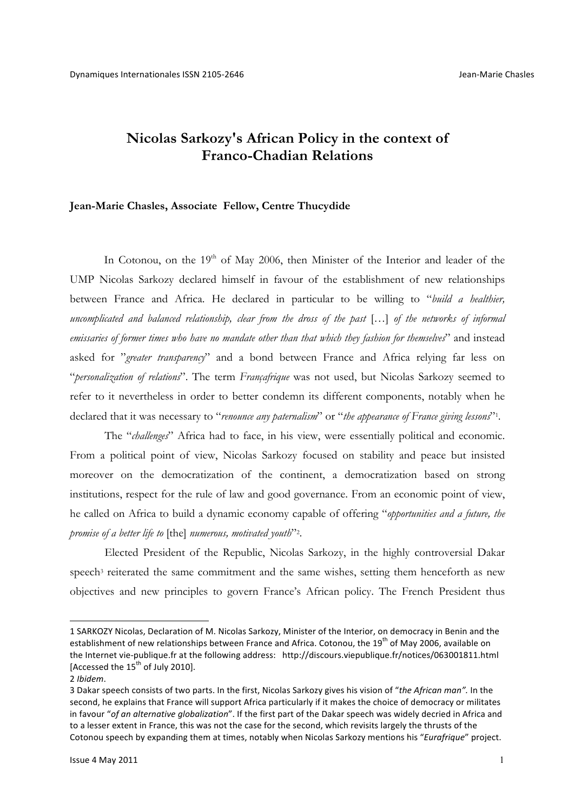# **Nicolas Sarkozy's African Policy in the context of Franco-Chadian Relations**

## **Jean-Marie Chasles, Associate Fellow, Centre Thucydide**

In Cotonou, on the  $19<sup>th</sup>$  of May 2006, then Minister of the Interior and leader of the UMP Nicolas Sarkozy declared himself in favour of the establishment of new relationships between France and Africa. He declared in particular to be willing to "*build a healthier, uncomplicated and balanced relationship, clear from the dross of the past* […] *of the networks of informal emissaries of former times who have no mandate other than that which they fashion for themselves*" and instead asked for "*greater transparency*" and a bond between France and Africa relying far less on "*personalization of relations*". The term *Françafrique* was not used, but Nicolas Sarkozy seemed to refer to it nevertheless in order to better condemn its different components, notably when he declared that it was necessary to "*renounce any paternalism*" or "*the appearance of France giving lessons*"1.

The "*challenges*" Africa had to face, in his view, were essentially political and economic. From a political point of view, Nicolas Sarkozy focused on stability and peace but insisted moreover on the democratization of the continent, a democratization based on strong institutions, respect for the rule of law and good governance. From an economic point of view, he called on Africa to build a dynamic economy capable of offering "*opportunities and a future, the promise of a better life to* [the] *numerous, motivated youth*"2.

Elected President of the Republic, Nicolas Sarkozy, in the highly controversial Dakar speech<sup>3</sup> reiterated the same commitment and the same wishes, setting them henceforth as new objectives and new principles to govern France's African policy. The French President thus

<sup>1</sup> SARKOZY Nicolas, Declaration of M. Nicolas Sarkozy, Minister of the Interior, on democracy in Benin and the establishment of new relationships between France and Africa. Cotonou, the 19<sup>th</sup> of May 2006, available on the Internet vie-publique.fr at the following address: http://discours.viepublique.fr/notices/063001811.html [Accessed the  $15^{th}$  of July 2010].

<sup>2</sup> *Ibidem*.

<sup>3</sup> Dakar speech consists of two parts. In the first, Nicolas Sarkozy gives his vision of "the African man". In the second, he explains that France will support Africa particularly if it makes the choice of democracy or militates in favour "of an alternative globalization". If the first part of the Dakar speech was widely decried in Africa and to a lesser extent in France, this was not the case for the second, which revisits largely the thrusts of the Cotonou speech by expanding them at times, notably when Nicolas Sarkozy mentions his "*Eurafrique*" project.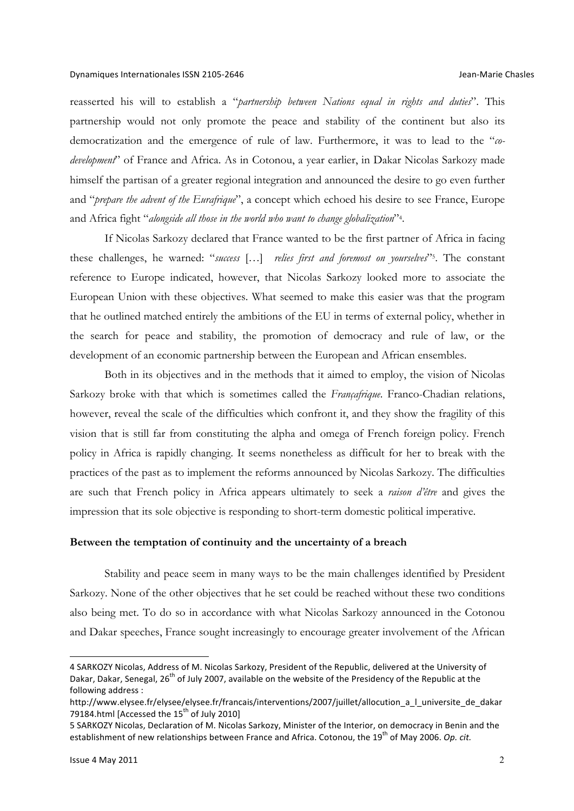#### Dynamiques Internationales ISSN 2105-2646 **Accord 2008 Chasles** Jean-Marie Chasles

reasserted his will to establish a "*partnership between Nations equal in rights and duties*". This partnership would not only promote the peace and stability of the continent but also its democratization and the emergence of rule of law. Furthermore, it was to lead to the "*codevelopment*" of France and Africa. As in Cotonou, a year earlier, in Dakar Nicolas Sarkozy made himself the partisan of a greater regional integration and announced the desire to go even further and "*prepare the advent of the Eurafrique*", a concept which echoed his desire to see France, Europe and Africa fight "*alongside all those in the world who want to change globalization*"4.

If Nicolas Sarkozy declared that France wanted to be the first partner of Africa in facing these challenges, he warned: "*success* […] *relies first and foremost on yourselves*"5. The constant reference to Europe indicated, however, that Nicolas Sarkozy looked more to associate the European Union with these objectives. What seemed to make this easier was that the program that he outlined matched entirely the ambitions of the EU in terms of external policy, whether in the search for peace and stability, the promotion of democracy and rule of law, or the development of an economic partnership between the European and African ensembles.

Both in its objectives and in the methods that it aimed to employ, the vision of Nicolas Sarkozy broke with that which is sometimes called the *Françafrique*. Franco-Chadian relations, however, reveal the scale of the difficulties which confront it, and they show the fragility of this vision that is still far from constituting the alpha and omega of French foreign policy. French policy in Africa is rapidly changing. It seems nonetheless as difficult for her to break with the practices of the past as to implement the reforms announced by Nicolas Sarkozy. The difficulties are such that French policy in Africa appears ultimately to seek a *raison d'être* and gives the impression that its sole objective is responding to short-term domestic political imperative.

#### **Between the temptation of continuity and the uncertainty of a breach**

Stability and peace seem in many ways to be the main challenges identified by President Sarkozy. None of the other objectives that he set could be reached without these two conditions also being met. To do so in accordance with what Nicolas Sarkozy announced in the Cotonou and Dakar speeches, France sought increasingly to encourage greater involvement of the African

<sup>4</sup> SARKOZY Nicolas, Address of M. Nicolas Sarkozy, President of the Republic, delivered at the University of Dakar, Dakar, Senegal, 26<sup>th</sup> of July 2007, available on the website of the Presidency of the Republic at the following address :

http://www.elysee.fr/elysee/elysee.fr/francais/interventions/2007/juillet/allocution\_a\_l\_universite\_de\_dakar 79184.html [Accessed the 15<sup>th</sup> of July 2010]

<sup>5</sup> SARKOZY Nicolas, Declaration of M. Nicolas Sarkozy, Minister of the Interior, on democracy in Benin and the establishment of new relationships between France and Africa. Cotonou, the 19<sup>th</sup> of May 2006. *Op. cit.*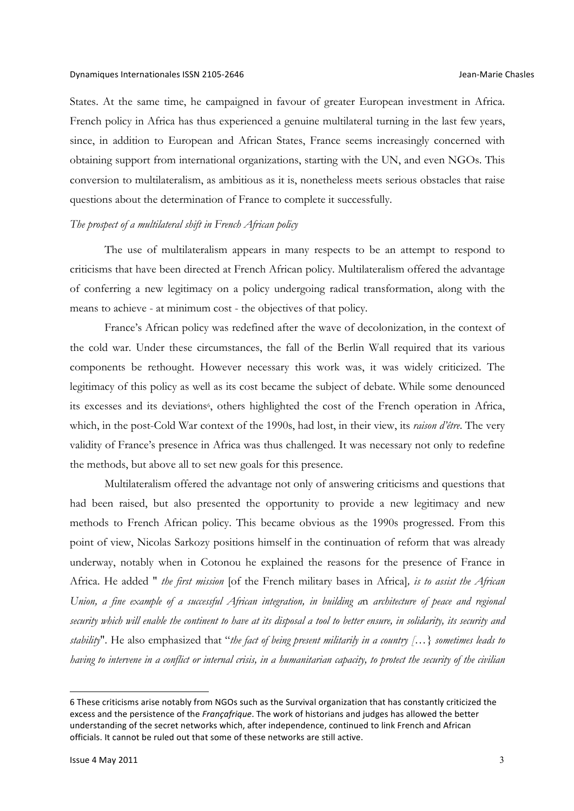States. At the same time, he campaigned in favour of greater European investment in Africa. French policy in Africa has thus experienced a genuine multilateral turning in the last few years, since, in addition to European and African States, France seems increasingly concerned with obtaining support from international organizations, starting with the UN, and even NGOs. This conversion to multilateralism, as ambitious as it is, nonetheless meets serious obstacles that raise questions about the determination of France to complete it successfully.

### *The prospect of a multilateral shift in French African policy*

The use of multilateralism appears in many respects to be an attempt to respond to criticisms that have been directed at French African policy. Multilateralism offered the advantage of conferring a new legitimacy on a policy undergoing radical transformation, along with the means to achieve - at minimum cost - the objectives of that policy.

France's African policy was redefined after the wave of decolonization, in the context of the cold war. Under these circumstances, the fall of the Berlin Wall required that its various components be rethought. However necessary this work was, it was widely criticized. The legitimacy of this policy as well as its cost became the subject of debate. While some denounced its excesses and its deviations<sup>6</sup>, others highlighted the cost of the French operation in Africa, which, in the post-Cold War context of the 1990s, had lost, in their view, its *raison d'être*. The very validity of France's presence in Africa was thus challenged. It was necessary not only to redefine the methods, but above all to set new goals for this presence.

Multilateralism offered the advantage not only of answering criticisms and questions that had been raised, but also presented the opportunity to provide a new legitimacy and new methods to French African policy. This became obvious as the 1990s progressed. From this point of view, Nicolas Sarkozy positions himself in the continuation of reform that was already underway, notably when in Cotonou he explained the reasons for the presence of France in Africa. He added " *the first mission* [of the French military bases in Africa]*, is to assist the African Union, a fine example of a successful African integration, in building a*n *architecture of peace and regional security which will enable the continent to have at its disposal a tool to better ensure, in solidarity, its security and stability*". He also emphasized that "*the fact of being present militarily in a country […} sometimes leads to having to intervene in a conflict or internal crisis, in a humanitarian capacity, to protect the security of the civilian* 

<sup>6</sup> These criticisms arise notably from NGOs such as the Survival organization that has constantly criticized the excess and the persistence of the *Françafrique*. The work of historians and judges has allowed the better understanding of the secret networks which, after independence, continued to link French and African officials. It cannot be ruled out that some of these networks are still active.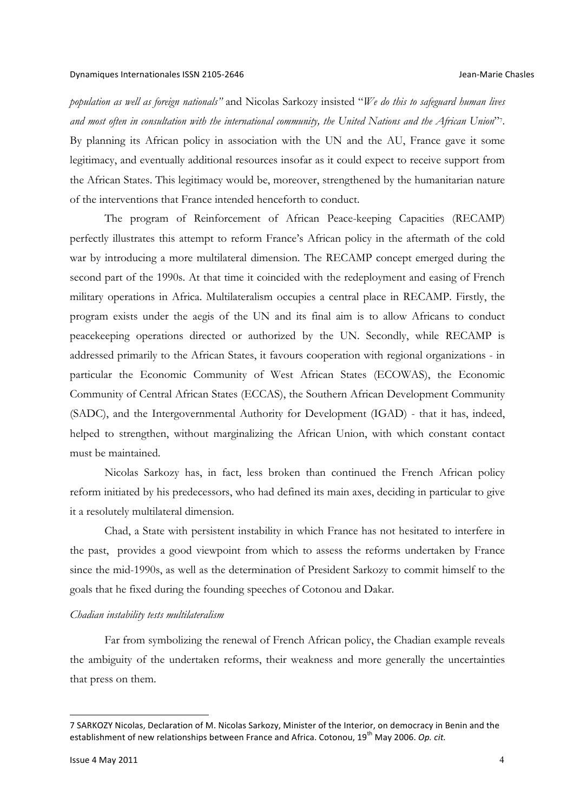*population as well as foreign nationals"* and Nicolas Sarkozy insisted "*We do this to safeguard human lives and most often in consultation with the international community, the United Nations and the African Union*"7. By planning its African policy in association with the UN and the AU, France gave it some legitimacy, and eventually additional resources insofar as it could expect to receive support from the African States. This legitimacy would be, moreover, strengthened by the humanitarian nature of the interventions that France intended henceforth to conduct.

The program of Reinforcement of African Peace-keeping Capacities (RECAMP) perfectly illustrates this attempt to reform France's African policy in the aftermath of the cold war by introducing a more multilateral dimension. The RECAMP concept emerged during the second part of the 1990s. At that time it coincided with the redeployment and easing of French military operations in Africa. Multilateralism occupies a central place in RECAMP. Firstly, the program exists under the aegis of the UN and its final aim is to allow Africans to conduct peacekeeping operations directed or authorized by the UN. Secondly, while RECAMP is addressed primarily to the African States, it favours cooperation with regional organizations - in particular the Economic Community of West African States (ECOWAS), the Economic Community of Central African States (ECCAS), the Southern African Development Community (SADC), and the Intergovernmental Authority for Development (IGAD) - that it has, indeed, helped to strengthen, without marginalizing the African Union, with which constant contact must be maintained.

Nicolas Sarkozy has, in fact, less broken than continued the French African policy reform initiated by his predecessors, who had defined its main axes, deciding in particular to give it a resolutely multilateral dimension.

Chad, a State with persistent instability in which France has not hesitated to interfere in the past, provides a good viewpoint from which to assess the reforms undertaken by France since the mid-1990s, as well as the determination of President Sarkozy to commit himself to the goals that he fixed during the founding speeches of Cotonou and Dakar.

#### *Chadian instability tests multilateralism*

Far from symbolizing the renewal of French African policy, the Chadian example reveals the ambiguity of the undertaken reforms, their weakness and more generally the uncertainties that press on them.

<sup>7</sup> SARKOZY Nicolas, Declaration of M. Nicolas Sarkozy, Minister of the Interior, on democracy in Benin and the establishment of new relationships between France and Africa. Cotonou, 19<sup>th</sup> May 2006. Op. cit.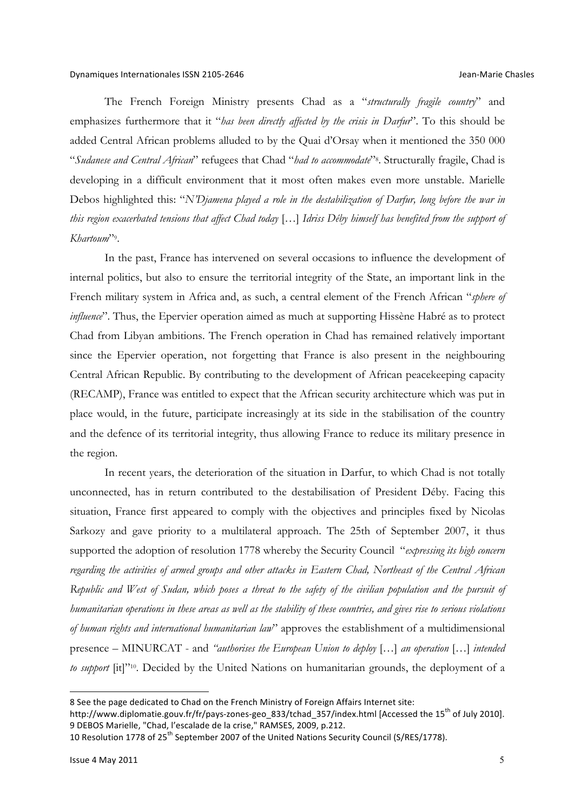The French Foreign Ministry presents Chad as a "*structurally fragile country*" and emphasizes furthermore that it "*has been directly affected by the crisis in Darfur*". To this should be added Central African problems alluded to by the Quai d'Orsay when it mentioned the 350 000 "*Sudanese and Central African*" refugees that Chad "*had to accommodate*"8. Structurally fragile, Chad is developing in a difficult environment that it most often makes even more unstable. Marielle Debos highlighted this: "*N'Djamena played a role in the destabilization of Darfur, long before the war in this region exacerbated tensions that affect Chad today* […] *Idriss Déby himself has benefited from the support of Khartoum*"9.

In the past, France has intervened on several occasions to influence the development of internal politics, but also to ensure the territorial integrity of the State, an important link in the French military system in Africa and, as such, a central element of the French African "*sphere of influence*". Thus, the Epervier operation aimed as much at supporting Hissène Habré as to protect Chad from Libyan ambitions. The French operation in Chad has remained relatively important since the Epervier operation, not forgetting that France is also present in the neighbouring Central African Republic. By contributing to the development of African peacekeeping capacity (RECAMP), France was entitled to expect that the African security architecture which was put in place would, in the future, participate increasingly at its side in the stabilisation of the country and the defence of its territorial integrity, thus allowing France to reduce its military presence in the region.

In recent years, the deterioration of the situation in Darfur, to which Chad is not totally unconnected, has in return contributed to the destabilisation of President Déby. Facing this situation, France first appeared to comply with the objectives and principles fixed by Nicolas Sarkozy and gave priority to a multilateral approach. The 25th of September 2007, it thus supported the adoption of resolution 1778 whereby the Security Council "*expressing its high concern regarding the activities of armed groups and other attacks in Eastern Chad, Northeast of the Central African Republic and West of Sudan, which poses a threat to the safety of the civilian population and the pursuit of humanitarian operations in these areas as well as the stability of these countries, and gives rise to serious violations of human rights and international humanitarian law*" approves the establishment of a multidimensional presence – MINURCAT - and *"authorises the European Union to deploy* […] *an operation* […] *intended to support* [it]"<sup>10</sup>. Decided by the United Nations on humanitarian grounds, the deployment of a

<sup>8</sup> See the page dedicated to Chad on the French Ministry of Foreign Affairs Internet site: http://www.diplomatie.gouv.fr/fr/pays-zones-geo\_833/tchad\_357/index.html [Accessed the 15<sup>th</sup> of July 2010].

<sup>9</sup> DEBOS Marielle, "Chad, l'escalade de la crise," RAMSES, 2009, p.212.

<sup>10</sup> Resolution 1778 of 25<sup>th</sup> September 2007 of the United Nations Security Council (S/RES/1778).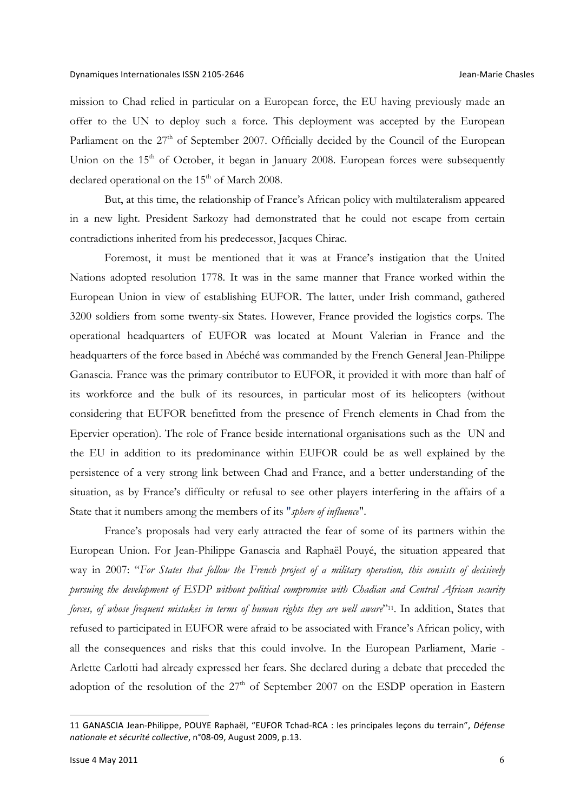mission to Chad relied in particular on a European force, the EU having previously made an offer to the UN to deploy such a force. This deployment was accepted by the European Parliament on the 27<sup>th</sup> of September 2007. Officially decided by the Council of the European Union on the  $15<sup>th</sup>$  of October, it began in January 2008. European forces were subsequently declared operational on the  $15<sup>th</sup>$  of March 2008.

But, at this time, the relationship of France's African policy with multilateralism appeared in a new light. President Sarkozy had demonstrated that he could not escape from certain contradictions inherited from his predecessor, Jacques Chirac.

Foremost, it must be mentioned that it was at France's instigation that the United Nations adopted resolution 1778. It was in the same manner that France worked within the European Union in view of establishing EUFOR. The latter, under Irish command, gathered 3200 soldiers from some twenty-six States. However, France provided the logistics corps. The operational headquarters of EUFOR was located at Mount Valerian in France and the headquarters of the force based in Abéché was commanded by the French General Jean-Philippe Ganascia. France was the primary contributor to EUFOR, it provided it with more than half of its workforce and the bulk of its resources, in particular most of its helicopters (without considering that EUFOR benefitted from the presence of French elements in Chad from the Epervier operation). The role of France beside international organisations such as the UN and the EU in addition to its predominance within EUFOR could be as well explained by the persistence of a very strong link between Chad and France, and a better understanding of the situation, as by France's difficulty or refusal to see other players interfering in the affairs of a State that it numbers among the members of its "*sphere of influence*".

France's proposals had very early attracted the fear of some of its partners within the European Union. For Jean-Philippe Ganascia and Raphaël Pouyé, the situation appeared that way in 2007: "*For States that follow the French project of a military operation, this consists of decisively pursuing the development of ESDP without political compromise with Chadian and Central African security forces, of whose frequent mistakes in terms of human rights they are well aware*"11. In addition, States that refused to participated in EUFOR were afraid to be associated with France's African policy, with all the consequences and risks that this could involve. In the European Parliament, Marie - Arlette Carlotti had already expressed her fears. She declared during a debate that preceded the adoption of the resolution of the  $27<sup>th</sup>$  of September 2007 on the ESDP operation in Eastern

<sup>11</sup> GANASCIA Jean-Philippe, POUYE Raphaël, "EUFOR Tchad-RCA : les principales leçons du terrain", Défense *nationale et sécurité collective*, n°08-09, August 2009, p.13.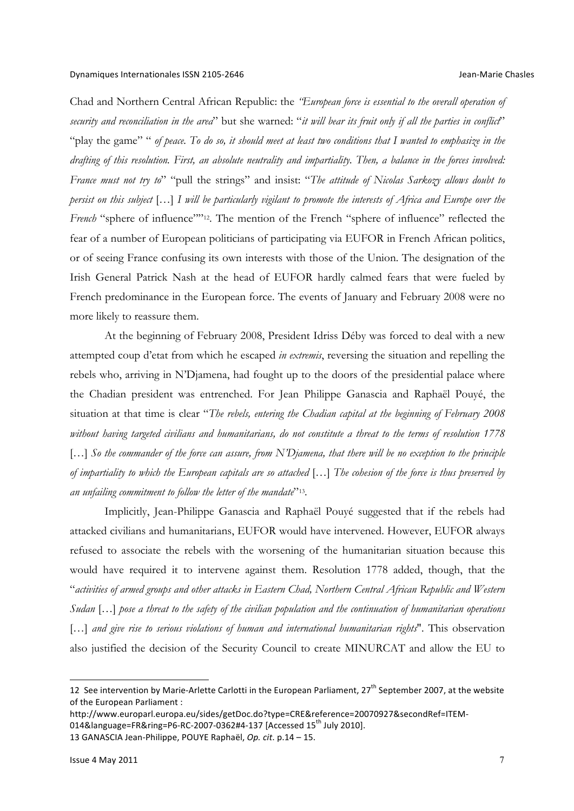Chad and Northern Central African Republic: the *"European force is essential to the overall operation of security and reconciliation in the area*" but she warned: "*it will bear its fruit only if all the parties in conflict*" "play the game" " of peace. To do so, it should meet at least two conditions that I wanted to emphasize in the *drafting of this resolution. First, an absolute neutrality and impartiality. Then, a balance in the forces involved: France must not try to*" "pull the strings" and insist: "*The attitude of Nicolas Sarkozy allows doubt to persist on this subject* […] *I will be particularly vigilant to promote the interests of Africa and Europe over the French* "sphere of influence""<sup>12</sup>. The mention of the French "sphere of influence" reflected the fear of a number of European politicians of participating via EUFOR in French African politics, or of seeing France confusing its own interests with those of the Union. The designation of the Irish General Patrick Nash at the head of EUFOR hardly calmed fears that were fueled by French predominance in the European force. The events of January and February 2008 were no more likely to reassure them.

At the beginning of February 2008, President Idriss Déby was forced to deal with a new attempted coup d'etat from which he escaped *in extremis*, reversing the situation and repelling the rebels who, arriving in N'Djamena, had fought up to the doors of the presidential palace where the Chadian president was entrenched. For Jean Philippe Ganascia and Raphaël Pouyé, the situation at that time is clear "*The rebels, entering the Chadian capital at the beginning of February 2008 without having targeted civilians and humanitarians, do not constitute a threat to the terms of resolution 1778*  [...] So the commander of the force can assure, from N'Djamena, that there will be no exception to the principle *of impartiality to which the European capitals are so attached* […] *The cohesion of the force is thus preserved by an unfailing commitment to follow the letter of the mandate*"13.

Implicitly, Jean-Philippe Ganascia and Raphaël Pouyé suggested that if the rebels had attacked civilians and humanitarians, EUFOR would have intervened. However, EUFOR always refused to associate the rebels with the worsening of the humanitarian situation because this would have required it to intervene against them. Resolution 1778 added, though, that the "*activities of armed groups and other attacks in Eastern Chad, Northern Central African Republic and Western Sudan* […] *pose a threat to the safety of the civilian population and the continuation of humanitarian operations*  [...] *and give rise to serious violations of human and international humanitarian rights*". This observation also justified the decision of the Security Council to create MINURCAT and allow the EU to

13 GANASCIA Jean-Philippe, POUYE Raphaël, *Op. cit.* p.14 - 15.

<sup>12</sup> See intervention by Marie-Arlette Carlotti in the European Parliament,  $27<sup>th</sup>$  September 2007, at the website of the European Parliament :

http://www.europarl.europa.eu/sides/getDoc.do?type=CRE&reference=20070927&secondRef=ITEM-

<sup>014&</sup>amp;language=FR&ring=P6-RC-2007-0362#4-137 [Accessed 15<sup>th</sup> July 2010].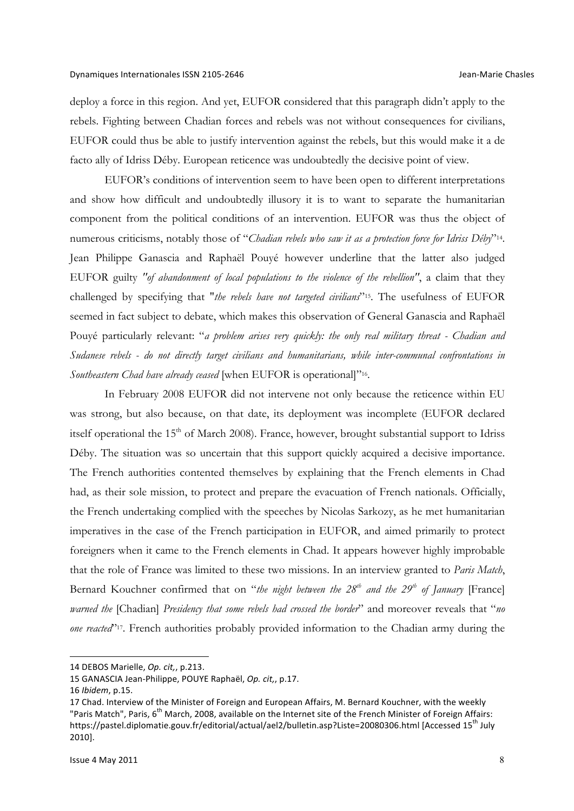deploy a force in this region. And yet, EUFOR considered that this paragraph didn't apply to the rebels. Fighting between Chadian forces and rebels was not without consequences for civilians, EUFOR could thus be able to justify intervention against the rebels, but this would make it a de facto ally of Idriss Déby. European reticence was undoubtedly the decisive point of view.

EUFOR's conditions of intervention seem to have been open to different interpretations and show how difficult and undoubtedly illusory it is to want to separate the humanitarian component from the political conditions of an intervention. EUFOR was thus the object of numerous criticisms, notably those of "*Chadian rebels who saw it as a protection force for Idriss Déby*"14. Jean Philippe Ganascia and Raphaël Pouyé however underline that the latter also judged EUFOR guilty *"of abandonment of local populations to the violence of the rebellion"*, a claim that they challenged by specifying that "*the rebels have not targeted civilians*"15. The usefulness of EUFOR seemed in fact subject to debate, which makes this observation of General Ganascia and Raphaël Pouyé particularly relevant: "*a problem arises very quickly: the only real military threat - Chadian and Sudanese rebels - do not directly target civilians and humanitarians, while inter-communal confrontations in Southeastern Chad have already ceased* [when EUFOR is operational]"16.

In February 2008 EUFOR did not intervene not only because the reticence within EU was strong, but also because, on that date, its deployment was incomplete (EUFOR declared itself operational the  $15<sup>th</sup>$  of March 2008). France, however, brought substantial support to Idriss Déby. The situation was so uncertain that this support quickly acquired a decisive importance. The French authorities contented themselves by explaining that the French elements in Chad had, as their sole mission, to protect and prepare the evacuation of French nationals. Officially, the French undertaking complied with the speeches by Nicolas Sarkozy, as he met humanitarian imperatives in the case of the French participation in EUFOR, and aimed primarily to protect foreigners when it came to the French elements in Chad. It appears however highly improbable that the role of France was limited to these two missions. In an interview granted to *Paris Match*, Bernard Kouchner confirmed that on "*the night between the 28<sup>th</sup> and the 29<sup>th</sup> of January* [France] *warned the* [Chadian] *Presidency that some rebels had crossed the border*" and moreover reveals that "*no one reacted*"<sup>17</sup>. French authorities probably provided information to the Chadian army during the

<sup>14</sup> DEBOS Marielle, *Op. cit,*, p.213.

<sup>15</sup> GANASCIA Jean-Philippe, POUYE Raphaël, *Op. cit,*, p.17.

<sup>16</sup> *Ibidem*, p.15.

<sup>17</sup> Chad. Interview of the Minister of Foreign and European Affairs, M. Bernard Kouchner, with the weekly "Paris Match", Paris, 6<sup>th</sup> March, 2008, available on the Internet site of the French Minister of Foreign Affairs: https://pastel.diplomatie.gouv.fr/editorial/actual/ael2/bulletin.asp?Liste=20080306.html [Accessed 15<sup>th</sup> July 2010].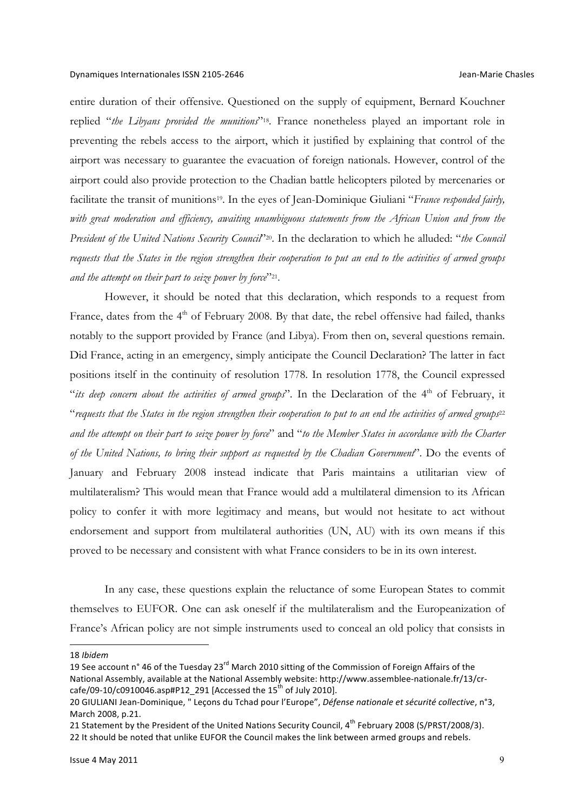entire duration of their offensive. Questioned on the supply of equipment, Bernard Kouchner replied "*the Libyans provided the munitions*"18. France nonetheless played an important role in preventing the rebels access to the airport, which it justified by explaining that control of the airport was necessary to guarantee the evacuation of foreign nationals. However, control of the airport could also provide protection to the Chadian battle helicopters piloted by mercenaries or facilitate the transit of munitions<sup>19</sup>. In the eyes of Jean-Dominique Giuliani "*France responded fairly*, *with great moderation and efficiency, awaiting unambiguous statements from the African Union and from the President of the United Nations Security Council*"20. In the declaration to which he alluded: "*the Council requests that the States in the region strengthen their cooperation to put an end to the activities of armed groups and the attempt on their part to seize power by force*"21.

However, it should be noted that this declaration, which responds to a request from France, dates from the 4<sup>th</sup> of February 2008. By that date, the rebel offensive had failed, thanks notably to the support provided by France (and Libya). From then on, several questions remain. Did France, acting in an emergency, simply anticipate the Council Declaration? The latter in fact positions itself in the continuity of resolution 1778. In resolution 1778, the Council expressed "*its deep concern about the activities of armed groups*". In the Declaration of the 4<sup>th</sup> of February, it "*requests that the States in the region strengthen their cooperation to put to an end the activities of armed groups*<sup>22</sup> *and the attempt on their part to seize power by force*" and "*to the Member States in accordance with the Charter of the United Nations, to bring their support as requested by the Chadian Government*". Do the events of January and February 2008 instead indicate that Paris maintains a utilitarian view of multilateralism? This would mean that France would add a multilateral dimension to its African policy to confer it with more legitimacy and means, but would not hesitate to act without endorsement and support from multilateral authorities (UN, AU) with its own means if this proved to be necessary and consistent with what France considers to be in its own interest.

In any case, these questions explain the reluctance of some European States to commit themselves to EUFOR. One can ask oneself if the multilateralism and the Europeanization of France's African policy are not simple instruments used to conceal an old policy that consists in

18 *Ibidem*

<sup>19</sup> See account n° 46 of the Tuesday 23<sup>rd</sup> March 2010 sitting of the Commission of Foreign Affairs of the National Assembly, available at the National Assembly website: http://www.assemblee-nationale.fr/13/crcafe/09-10/c0910046.asp#P12\_291 [Accessed the  $15^{th}$  of July 2010].

<sup>20</sup> GIULIANI Jean-Dominique, " Leçons du Tchad pour l'Europe", *Défense nationale et sécurité collective*, n°3, March 2008, p.21.

<sup>21</sup> Statement by the President of the United Nations Security Council, 4<sup>th</sup> February 2008 (S/PRST/2008/3). 22 It should be noted that unlike EUFOR the Council makes the link between armed groups and rebels.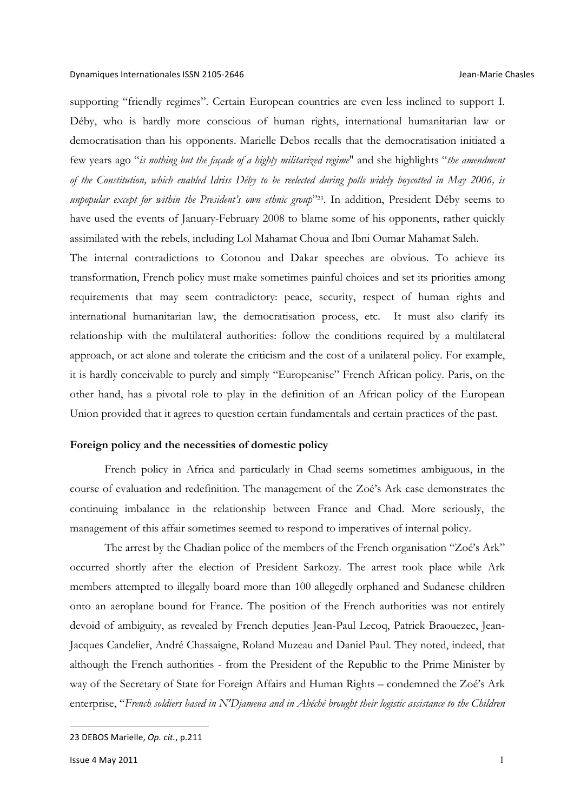#### Dynamiques Internationales ISSN 2105-2646 **Accord 2008 Contact Chasnes** Jean-Marie Chasles

supporting "friendly regimes". Certain European countries are even less inclined to support I. Déby, who is hardly more conscious of human rights, international humanitarian law or democratisation than his opponents. Marielle Debos recalls that the democratisation initiated a few years ago "*is nothing but the façade of a highly militarized regime*" and she highlights "*the amendment of the Constitution, which enabled Idriss Déby to be reelected during polls widely boycotted in May 2006, is unpopular except for within the President's own ethnic group*"23. In addition, President Déby seems to have used the events of January-February 2008 to blame some of his opponents, rather quickly assimilated with the rebels, including Lol Mahamat Choua and Ibni Oumar Mahamat Saleh.

The internal contradictions to Cotonou and Dakar speeches are obvious. To achieve its transformation, French policy must make sometimes painful choices and set its priorities among requirements that may seem contradictory: peace, security, respect of human rights and international humanitarian law, the democratisation process, etc. It must also clarify its relationship with the multilateral authorities: follow the conditions required by a multilateral approach, or act alone and tolerate the criticism and the cost of a unilateral policy. For example, it is hardly conceivable to purely and simply "Europeanise" French African policy. Paris, on the other hand, has a pivotal role to play in the definition of an African policy of the European Union provided that it agrees to question certain fundamentals and certain practices of the past.

### **Foreign policy and the necessities of domestic policy**

French policy in Africa and particularly in Chad seems sometimes ambiguous, in the course of evaluation and redefinition. The management of the Zoé's Ark case demonstrates the continuing imbalance in the relationship between France and Chad. More seriously, the management of this affair sometimes seemed to respond to imperatives of internal policy.

The arrest by the Chadian police of the members of the French organisation "Zoé's Ark" occurred shortly after the election of President Sarkozy. The arrest took place while Ark members attempted to illegally board more than 100 allegedly orphaned and Sudanese children onto an aeroplane bound for France. The position of the French authorities was not entirely devoid of ambiguity, as revealed by French deputies Jean-Paul Lecoq, Patrick Braouezec, Jean-Jacques Candelier, André Chassaigne, Roland Muzeau and Daniel Paul. They noted, indeed, that although the French authorities - from the President of the Republic to the Prime Minister by way of the Secretary of State for Foreign Affairs and Human Rights – condemned the Zoé's Ark enterprise, "*French soldiers based in N'Djamena and in Abéché brought their logistic assistance to the Children* 

<sup>23</sup> DEBOS Marielle, *Op. cit.*, p.211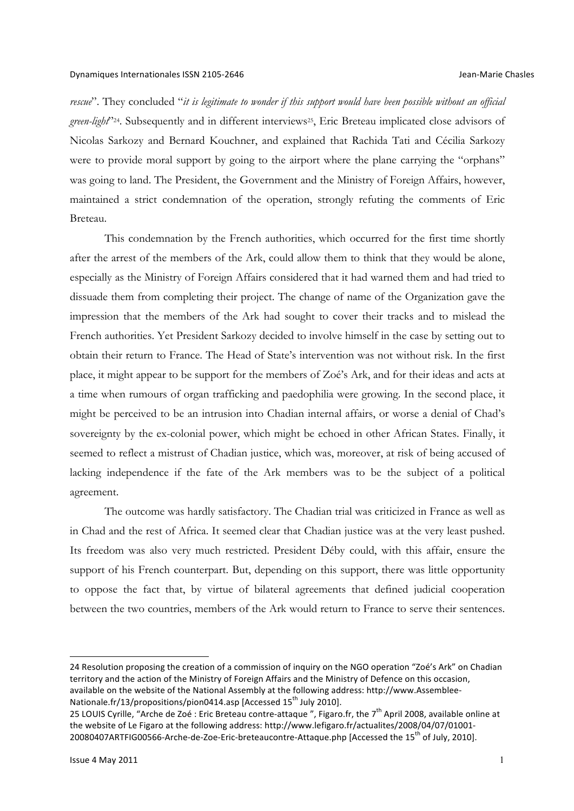*rescue*". They concluded "*it is legitimate to wonder if this support would have been possible without an official*  green-light<sup>224</sup>. Subsequently and in different interviews<sup>25</sup>, Eric Breteau implicated close advisors of Nicolas Sarkozy and Bernard Kouchner, and explained that Rachida Tati and Cécilia Sarkozy were to provide moral support by going to the airport where the plane carrying the "orphans" was going to land. The President, the Government and the Ministry of Foreign Affairs, however, maintained a strict condemnation of the operation, strongly refuting the comments of Eric Breteau.

This condemnation by the French authorities, which occurred for the first time shortly after the arrest of the members of the Ark, could allow them to think that they would be alone, especially as the Ministry of Foreign Affairs considered that it had warned them and had tried to dissuade them from completing their project. The change of name of the Organization gave the impression that the members of the Ark had sought to cover their tracks and to mislead the French authorities. Yet President Sarkozy decided to involve himself in the case by setting out to obtain their return to France. The Head of State's intervention was not without risk. In the first place, it might appear to be support for the members of Zoé's Ark, and for their ideas and acts at a time when rumours of organ trafficking and paedophilia were growing. In the second place, it might be perceived to be an intrusion into Chadian internal affairs, or worse a denial of Chad's sovereignty by the ex-colonial power, which might be echoed in other African States. Finally, it seemed to reflect a mistrust of Chadian justice, which was, moreover, at risk of being accused of lacking independence if the fate of the Ark members was to be the subject of a political agreement.

The outcome was hardly satisfactory. The Chadian trial was criticized in France as well as in Chad and the rest of Africa. It seemed clear that Chadian justice was at the very least pushed. Its freedom was also very much restricted. President Déby could, with this affair, ensure the support of his French counterpart. But, depending on this support, there was little opportunity to oppose the fact that, by virtue of bilateral agreements that defined judicial cooperation between the two countries, members of the Ark would return to France to serve their sentences.

<sup>24</sup> Resolution proposing the creation of a commission of inquiry on the NGO operation "Zoé's Ark" on Chadian territory and the action of the Ministry of Foreign Affairs and the Ministry of Defence on this occasion, available on the website of the National Assembly at the following address: http://www.Assemblee-Nationale.fr/13/propositions/pion0414.asp [Accessed 15<sup>th</sup> July 2010].

<sup>25</sup> LOUIS Cyrille, "Arche de Zoé : Eric Breteau contre-attaque ", Figaro.fr, the  $7<sup>th</sup>$  April 2008, available online at the website of Le Figaro at the following address: http://www.lefigaro.fr/actualites/2008/04/07/01001-20080407ARTFIG00566-Arche-de-Zoe-Eric-breteaucontre-Attaque.php [Accessed the 15<sup>th</sup> of July, 2010].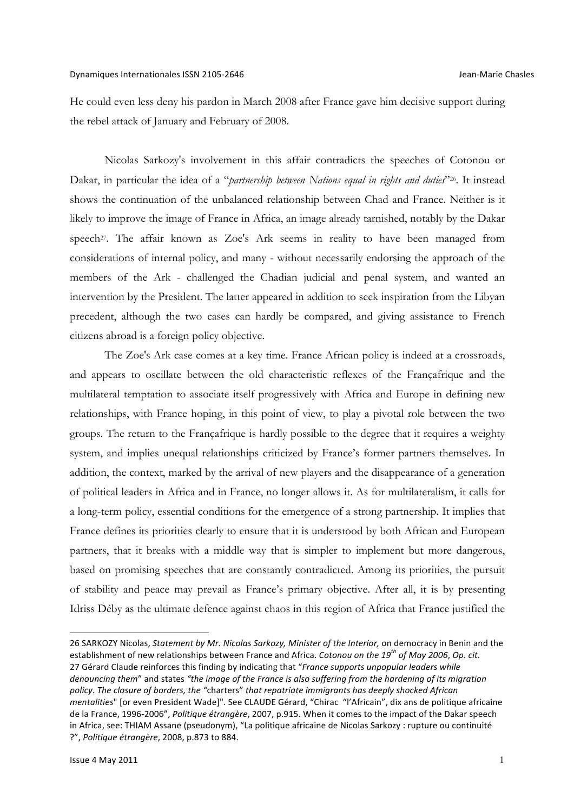He could even less deny his pardon in March 2008 after France gave him decisive support during the rebel attack of January and February of 2008.

Nicolas Sarkozy's involvement in this affair contradicts the speeches of Cotonou or Dakar, in particular the idea of a "*partnership between Nations equal in rights and duties*"26. It instead shows the continuation of the unbalanced relationship between Chad and France. Neither is it likely to improve the image of France in Africa, an image already tarnished, notably by the Dakar speech<sup>27</sup>. The affair known as Zoe's Ark seems in reality to have been managed from considerations of internal policy, and many - without necessarily endorsing the approach of the members of the Ark - challenged the Chadian judicial and penal system, and wanted an intervention by the President. The latter appeared in addition to seek inspiration from the Libyan precedent, although the two cases can hardly be compared, and giving assistance to French citizens abroad is a foreign policy objective.

The Zoe's Ark case comes at a key time. France African policy is indeed at a crossroads, and appears to oscillate between the old characteristic reflexes of the Françafrique and the multilateral temptation to associate itself progressively with Africa and Europe in defining new relationships, with France hoping, in this point of view, to play a pivotal role between the two groups. The return to the Françafrique is hardly possible to the degree that it requires a weighty system, and implies unequal relationships criticized by France's former partners themselves. In addition, the context, marked by the arrival of new players and the disappearance of a generation of political leaders in Africa and in France, no longer allows it. As for multilateralism, it calls for a long-term policy, essential conditions for the emergence of a strong partnership. It implies that France defines its priorities clearly to ensure that it is understood by both African and European partners, that it breaks with a middle way that is simpler to implement but more dangerous, based on promising speeches that are constantly contradicted. Among its priorities, the pursuit of stability and peace may prevail as France's primary objective. After all, it is by presenting Idriss Déby as the ultimate defence against chaos in this region of Africa that France justified the

<sup>26</sup> SARKOZY Nicolas, *Statement by Mr. Nicolas Sarkozy, Minister of the Interior*, on democracy in Benin and the establishment of new relationships between France and Africa. *Cotonou on the 19<sup>th</sup> of May 2006*, *Op. cit.* 27 Gérard Claude reinforces this finding by indicating that "France supports unpopular leaders while *denouncing* them" and states "the image of the France is also suffering from the hardening of its migration policy. The closure of borders, the "charters" that repatriate immigrants has deeply shocked African *mentalities*" [or even President Wade]". See CLAUDE Gérard, "Chirac "l'Africain", dix ans de politique africaine de la France, 1996-2006", Politique étrangère, 2007, p.915. When it comes to the impact of the Dakar speech in Africa, see: THIAM Assane (pseudonym), "La politique africaine de Nicolas Sarkozy : rupture ou continuité ?", Politique étrangère, 2008, p.873 to 884.